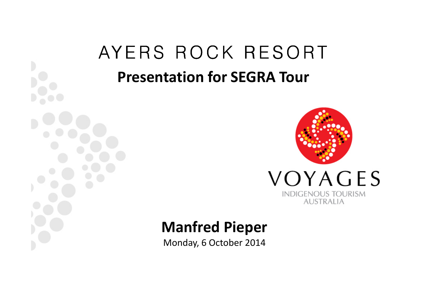# AYERS ROCK RESORT Presentation for SEGRA Tour



#### Manfred Pieper

Monday, 6 October 2014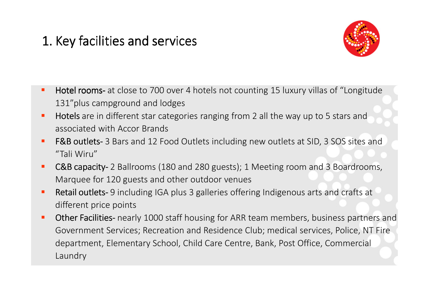### 1. Key facilities and services



- $\blacksquare$  Hotel rooms- at close to 700 over 4 hotels not counting 15 luxury villas of "Longitude 131"plus campground and lodges
- $\blacksquare$ Hotels are in different star categories ranging from 2 all the way up to 5 stars and associated with Accor Brands
- $\blacksquare$ F&B outlets- 3 Bars and 12 Food Outlets including new outlets at SID, 3 SOS sites and "Tali Wiru"
- $\blacksquare$ C&B capacity- 2 Ballrooms (180 and 280 guests); 1 Meeting room and 3 Boardrooms, Marquee for 120 guests and other outdoor venues
- $\blacksquare$  Retail outlets- 9 including IGA plus 3 galleries offering Indigenous arts and crafts at different price points
- $\blacksquare$ Other Facilities- nearly 1000 staff housing for ARR team members, business partners and Government Services; Recreation and Residence Club; medical services, Police, NT Fire department, Elementary School, Child Care Centre, Bank, Post Office, Commercial Laundry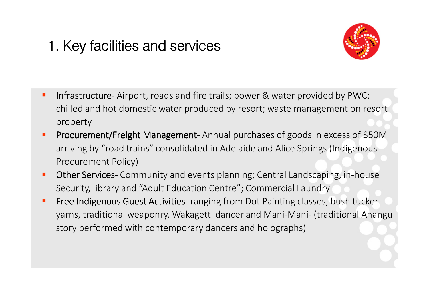## 1. Key facilities and services



- $\blacksquare$ Infrastructure- Airport, roads and fire trails; power & water provided by PWC; chilled and hot domestic water produced by resort; waste management on resort property
- Procurement/Freight Management- Annual purchases of goods in excess of \$50M arriving by "road trains" consolidated in Adelaide and Alice Springs (Indigenous Procurement Policy)
- $\blacksquare$ Other Services- Community and events planning; Central Landscaping, in-house Security, library and "Adult Education Centre"; Commercial Laundry
- $\blacksquare$ Free Indigenous Guest Activities- ranging from Dot Painting classes, bush tucker yarns, traditional weaponry, Wakagetti dancer and Mani-Mani- (traditional Anangu story performed with contemporary dancers and holographs)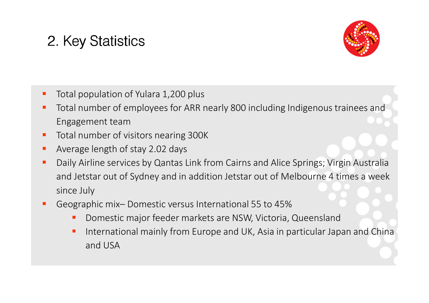# 2. Key Statistics



- $\blacksquare$ Total population of Yulara 1,200 plus
- Г Total number of employees for ARR nearly 800 including Indigenous trainees and Engagement team
- Total number of visitors nearing 300K **STATE**
- $\blacksquare$ Average length of stay 2.02 days
- $\blacksquare$  Daily Airline services by Qantas Link from Cairns and Alice Springs; Virgin Australia and Jetstar out of Sydney and in addition Jetstar out of Melbourne 4 times a week since July
- Geographic mix– Domestic versus International 55 to 45%
	- **Domestic major feeder markets are NSW, Victoria, Queensland**  $\blacksquare$
	- International mainly from Europe and UK, Asia in particular Japan and China and USA